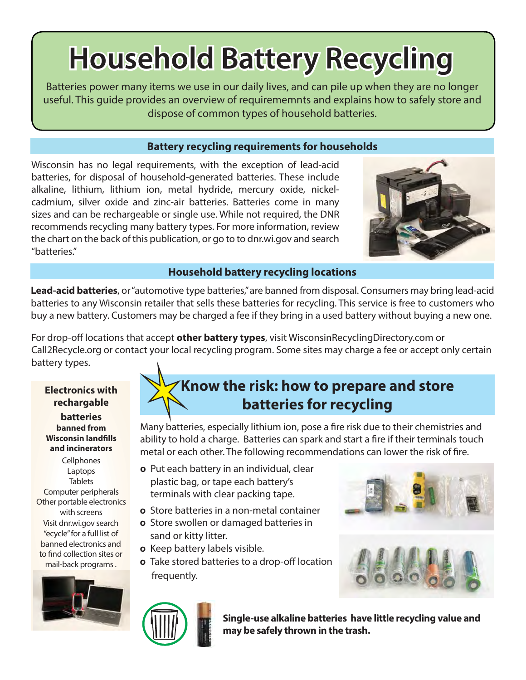# **Household Battery Recycling**

Batteries power many items we use in our daily lives, and can pile up when they are no longer useful. This guide provides an overview of requirememnts and explains how to safely store and dispose of common types of household batteries.

## **Battery recycling requirements for households**

Wisconsin has no legal requirements, with the exception of lead-acid batteries, for disposal of household-generated batteries. These include alkaline, lithium, lithium ion, metal hydride, mercury oxide, nickelcadmium, silver oxide and zinc-air batteries. Batteries come in many sizes and can be rechargeable or single use. While not required, the DNR recommends recycling many battery types. For more information, review the chart on the back of this publication, or go to to dnr.wi.gov and search "batteries."

## **Household battery recycling locations**

**Lead-acid batteries**, or "automotive type batteries," are banned from disposal. Consumers may bring lead-acid batteries to any Wisconsin retailer that sells these batteries for recycling. This service is free to customers who buy a new battery. Customers may be charged a fee if they bring in a used battery without buying a new one.

For drop-off locations that accept **other battery types**, visit WisconsinRecyclingDirectory.com or Call2Recycle.org or contact your local recycling program. Some sites may charge a fee or accept only certain battery types.

**Electronics with rechargable batteries banned from Wisconsin landfills and incinerators**

**Cellphones** Laptops **Tablets** Computer peripherals Other portable electronics with screens Visit dnr.wi.gov search "ecycle" for a full list of banned electronics and to find collection sites or mail-back programs .



## **Know the risk: how to prepare and store batteries for recycling**

Many batteries, especially lithium ion, pose a fire risk due to their chemistries and ability to hold a charge. Batteries can spark and start a fire if their terminals touch metal or each other. The following recommendations can lower the risk of fire.

- **0** Put each battery in an individual, clear plastic bag, or tape each battery's terminals with clear packing tape.
- **0** Store batteries in a non-metal container
- **0** Store swollen or damaged batteries in sand or kitty litter.
- **0** Keep battery labels visible.
- **0** Take stored batteries to a drop-off location frequently.







**Single-use alkaline batteries have little recycling value and may be safely thrown in the trash.**